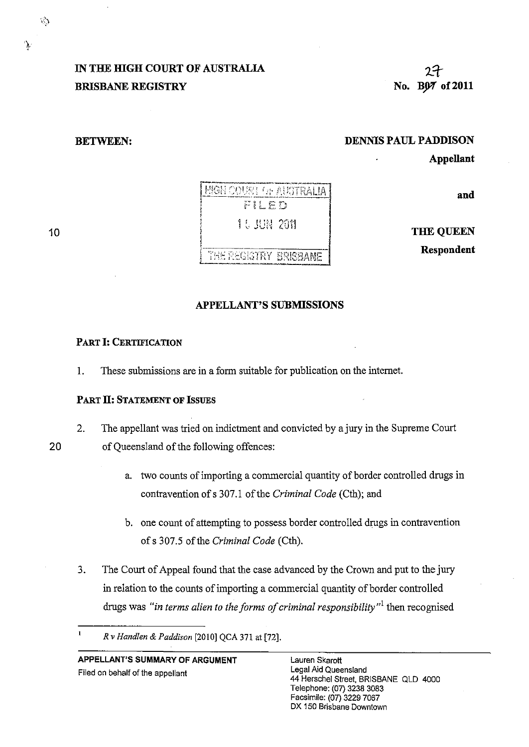### **IN THE HIGH COURT OF AUSTRALIA BRISBANE REGISTRY**

**BETWEEN:** 

### **DENNIS PAUL PADDISON**

**Appellant** 

2 t **No. B07 of 2011** 

**and** 

THE OUEEN

**Respondent** 

### **APPELLANT'S SUBMISSIONS**

### PART I: **CERTIFICATION**

1. These submissions are in a form suitable for publication on the internet.

### **PART II: STATEMENT OF ISSUES**

2. The appellant was tried on indictment and convicted by a jury in the Supreme Court

20 of Queensland of the following offences:

- a. two counts of importing a commercial quantity of border controlled drugs in contravention of s 307.1 of the *Criminal Code* (Cth); and
- b. one count of attempting to possess border controlled drugs in contravention of s 307.5 of the *Criminal Code* (Cth).
- 3. The Court of Appeal found that the case advanced by the Crown and put to the jury in relation to the counts of importing a commercial quantity of border controlled drugs was *"in terms alien to the forms of criminal responsibility"l* then recognised

### **APPELLANT'S SUMMARY OF ARGUMENT**  Filed on behalf of the appellant



ኁ

10

 $\mathbf{I}$ *Rv Handlen* & *Paddison* [2010] QCA 371 at [72].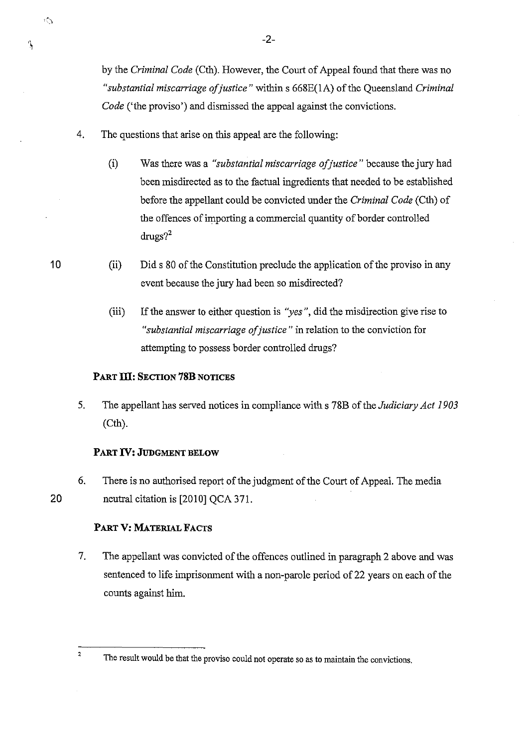by the *Criminal Code* (Cth). However, the Court of Appeal found that there was no *"substantial miscarriage of justice* " within s 668E(IA) of the Queensland *Criminal Code* ('the proviso') and dismissed the appeal against the convictions.

- 4. The questions that arise on this appeal are the following:
	- (i) Was there was a *"substantial miscarriage of justice* " because the jury had been misdirected as to the factual ingredients that needed to be established before the appellant could be convicted under the *Criminal Code* (Cth) of the offences of importing a commercial quantity of border controlled  $drugs?$ <sup>2</sup>
	- (ii) Did s 80 of the Constitution preclude the application of the proviso in any event because the jury had been so misdirected?
		- (iii) If the answer to either question is *"yes",* did the misdirection give rise to *"substantial miscarriage of justice* " in relation to the conviction for attempting to possess border controlled drugs?

### PART **ill:** SECTION **78B** NOTICES

5. The appellant has served notices in compliance with s 78B of the *Judiciary Act 1903*  (Cth).

### PART **IV:** JUDGMENT BELOW

6. There is no authorised report of the judgment of the Court of Appeal. The media neutral citation is [2010] QCA 371.

### PART V: MATERIAL FACTS

7. The appellant was convicted of the offences outlined in paragraph 2 above and was sentenced to life imprisonment with a non-parole period of 22 years on each of the counts against him.

10

 $\psi$  )

Ŋ

20

<sup>&</sup>lt;sup>2</sup> The result would be that the proviso could not operate so as to maintain the convictions.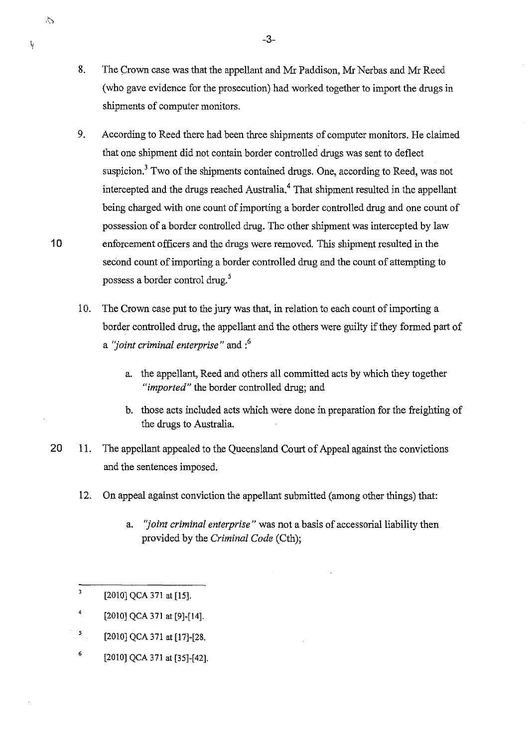- 8. The Crown case was that the appellant and Mr Paddison, Mr Nerbas and Mr Reed (who gave evidence for the prosecution) had worked together to import the drugs in shipments of computer monitors.
- 9. According to Reed there had been three shipments of computer monitors. He claimed that one shipment did not contain border controlled drugs was sent to deflect suspicion.<sup>3</sup> Two of the shipments contained drugs. One, according to Reed, was not intercepted and the drugs reached Australia.<sup>4</sup> That shipment resulted in the appellant being charged with one count of importing a border controlled drug and one count of possession of a border controlled drug. The other shipment was intercepted by law enforcement officers and the drugs were removed. This shipment resulted in the second count of importing a border controlled drug and the count of attempting to possess a border control drug. <sup>5</sup>
- 10. The Crown case put to the jury was that, in relation to each count of importing a border controlled drug, the appellant and the others were guilty if they formed part of a *"joint criminal enterprise"* and :6
	- a. the appellant, Reed and others all committed acts by which they together *"imported"* the border controlled drug; and
	- b. those acts included acts which were done in preparation for the freighting of the drugs to Australia.
- 20 1l. The appellant appealed to the Queensland Court of Appeal against the convictions and the sentences imposed.
	- 12. On appeal against conviction the appellant submitted (among other things) that:
		- a. *"joint criminal enterprise"* was not a basis of accessorial liability then provided by the *Criminal Code* (Cth);
	- $\overline{\mathbf{3}}$ [2010] QCA 371 at [15].
	- 4 [2010] QCA 371 at [9]-[14].
	- 5 [2010] QCA 371 at [17]-[28.
	- 6 [2010] QCA 371 at [35]-[42].

 $\circ$ 

10

y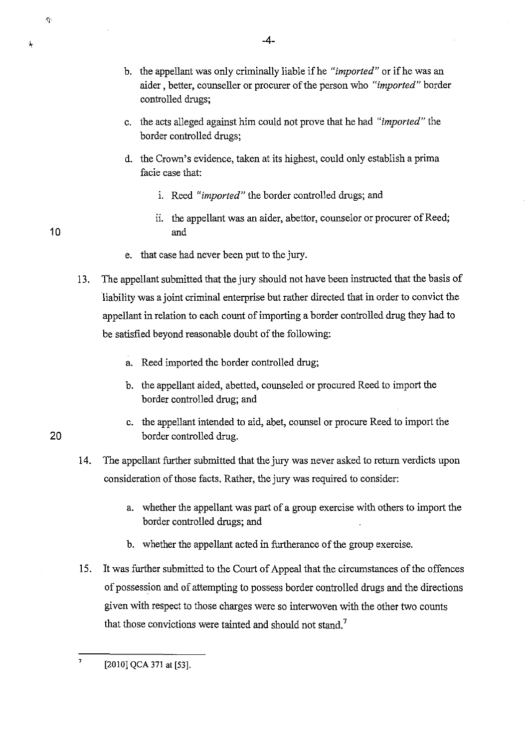۰۸

- b. the appellant was only criminally liable if he *"imported"* or ifhe was an aider, better, counseller or procurer of the person who *"imported"* border controlled drugs;
- c. the acts alleged against him could not prove that he had *"imported"* the border controlled drugs;
- d. the Crown's evidence, taken at its highest, could only establish a prima facie case that:
	- i. Reed *"imported"* the border controlled drugs; and
	- ii. the appellant was an aider, abettor, counselor or procurer of Reed; and
- e. that case had never been put to the jury.
- 13. The appellant submitted that the jury should not have been instructed that the basis of liability was a joint criminal enterprise but rather directed that in order to convict the appellant in relation to each count of importing a border controlled drug they had to be satisfied beyond reasonable doubt of the following:
	- a. Reed imported the border controlled drug;
	- b. the appellant aided, abetted, counseled or procured Reed to import the border controlled drug; and
- c. the appellant intended to aid, abet, counsel or procure Reed to import the 20 border controlled drug.
	- 14. The appellant further submitted that the jury was never asked to return verdicts upon consideration of those facts. Rather, the jury was required to consider:
		- a. whether the appellant was part of a group exercise with others to import the border controlled drugs; and
		- b. whether the appellant acted in furtherance of the group exercise.
	- 15. It was further submitted to the Court of Appeal that the circumstances of the offences of possession and of attempting to possess border controlled drugs and the directions given with respect to those charges were so interwoven with the other two counts that those convictions were tainted and should not stand.<sup>7</sup>

 $7$  [2010] QCA 371 at [53].

10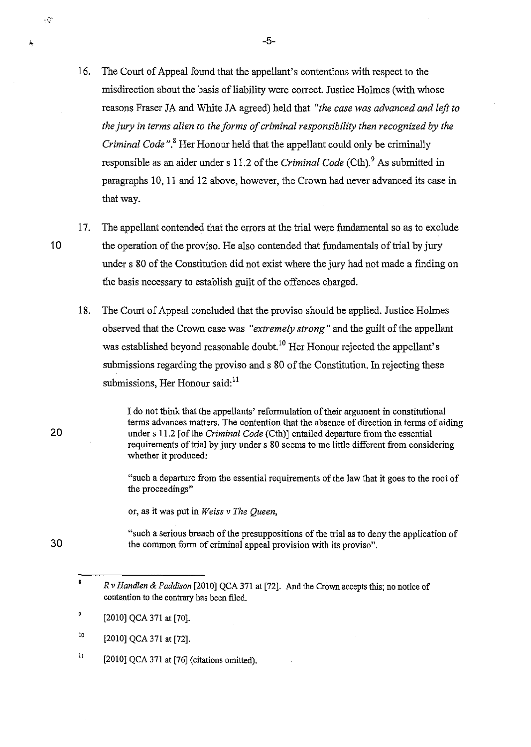- 16. The Court of Appeal found that the appellant's contentions with respect to the misdirection about the basis of liability were correct. Justice Holmes (with whose reasons Fraser JA and White JA agreed) held that *"the case was advanced and left to the jury in terms alien to the forms of criminal responsibility then recognized by the Criminal Code".* 8 Her Honour held that the appellant could only be criminally responsible as an aider under s 11.2 of the *Criminal Code* (Cth). 9 As submitted in paragraphs 10, 11 and 12 above, however, the Crown had never advanced its case in that way.
- 17. The appellant contended that the errors at the trial were fundamental so as to exclude 10 the operation of the proviso. He also contended that fundamentals of trial by jury under s 80 of the Constitution did not exist where the jury had not made a finding on the basis necessary to establish guilt of the offences charged.
	- 18. The Court of Appeal concluded that the proviso should be applied. Justice Holmes observed that the Crown case was *"extremely strong"* and the guilt of the appellant was established beyond reasonable doubt.<sup>10</sup> Her Honour rejected the appellant's submissions regarding the proviso and s 80 of the Constitution. In rejecting these submissions, Her Honour said:<sup>11</sup>

I do not think that the appellants' reformulation of their argument in constitutional terms advances matters. The contention that the absence of direction in terms of aiding under s 11.2 [of the *Criminal Code* (Cth)] entailed departure from the essential requirements of trial by jury under s 80 seems to me little different from considering whether it produced:

"such a departure from the essential requirements of the law that it goes to the root of the proceedings"

or, as it was put in *Weiss* v *The Queen,* 

"such a serious breach of the presuppositions of the trial as to deny the application of the common form of criminal appeal provision with its proviso".

20

к¢

30

- 10 [2010] QCA 371 at [72].
- 11 [2010] QCA 371 at [76] (citations omitted).

 $-5-$ 

<sup>8</sup>  *Rv Handlen* & *Paddison* [2010] QCA 371 at [72]. And the Crown accepts this; no notice of contention to the contrary has been filed.

<sup>,</sup>  [2010] QCA 371 at [70].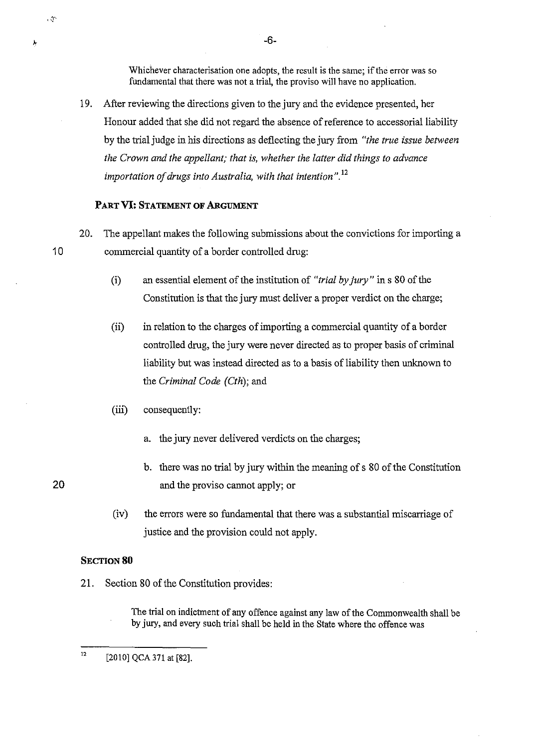Whichever characterisation one adopts, the result is the same; if the error was so fundamental that there was not a trial, the proviso will have no application,

19. After reviewing the directions given to the jury and the evidence presented, her Honour added that she did not regard the absence of reference to accessorial liability by the trial judge in his directions as deflecting the jury from *"the true issue between the Crown and the appellant; that is, whether the latter did things to advance importation of drugs into Australia, with that intention* ", 12

### PART **VI: STATEMENT OF ARGUMENT**

- 20. The appellant makes the following submissions about the convictions for importing a 10 commercial quantity of a border controlled drug:
	- (i) an essential element of the institution of *"trial by jury"* in s 80 of the Constitution is that the jury must deliver a proper verdict on the charge;
	- (ii) in relation to the charges of importing a commercial quantity of a border controlled drug, the jury were never directed as to proper basis of criminal liability but was instead directed as to a basis of liability then unknown to the *Criminal Code (Cth);* and
	- (iii) consequently:
		- a. the jury never delivered verdicts on the charges;
- b. there was no trial by jury within the meaning of s 80 of the Constitution 20 and the proviso cannot apply; or
	- (iv) the errors were so fundamental that there was a substantial miscarriage of justice and the provision could not apply.

### SECTION 80

21. Section 80 of the Constitution provides:

The trial on indictment of any offence against any law of the Commonwealth shall be by jury, and every such trial shall be held in the State where the offence was

-6-

 $\cdot$   $\sigma$ 

Å

<sup>12</sup>  [2010] QCA 371 at [82].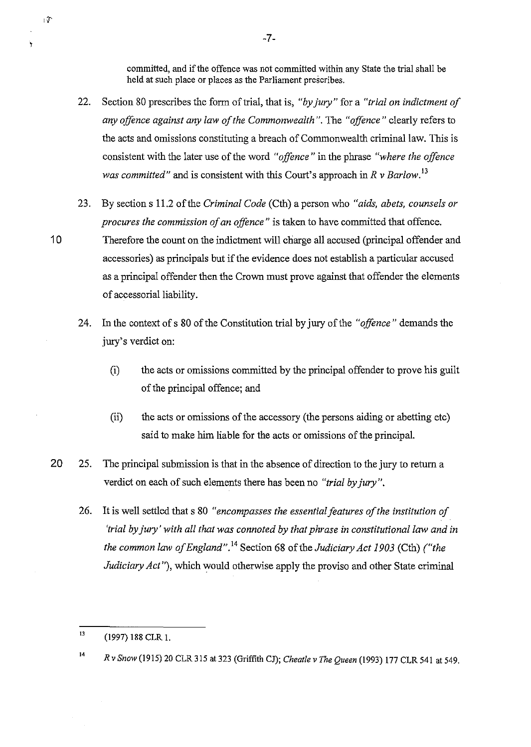committed, and if the offence was not committed within any State the trial shall be held at such place or places as the Parliament prescribes.

- 22. Section 80 prescribes the form of trial, that is, *"by jury"* for a *"trial on indictment of any offence against any law of the Commonwealth".* The *"offence"* clearly refers to the acts and omissions constituting a breach of Commonwealth criminal law. This is consistent with the later use of the word *"offence"* in the phrase *"where the offence was committed"* and is consistent with this Court's approach in *R v Barlow*.<sup>13</sup>
- 23. By section s 11.2 of the *Criminal Code* (Cth) a person who *"aids, abets, counsels or procures the commission of an offence"* is taken to have committed that offence. 1 0 Therefore the count on the indictment will charge all accused (principal offender and accessories) as principals but if the evidence does not establish a particular accused as a principal offender then the Crown must prove against that offender the elements of accessorial liability.
	- 24. In the context of s 80 of the Constitution trial by jury of the *"offence"* demands the jury's verdict on:
		- (i) the acts or omissions committed by the principal offender to prove his guilt of the principal offence; and
		- (ii) the acts or omissions of the accessory (the persons aiding or abetting etc) said to make him liable for the acts or omissions of the principal.
- 20 25. The principal submission is that in the absence of direction to the jury to return a verdict on each of such elements there has been no *"trial by jury".* 
	- 26. It is well settled that s 80 *"encompasses the essential features of the institution of 'trial by jury' with all that was connoted by that phrase in constitutional law and in the common law of England".* 14 Section 68 of the *Judiciary Act 1903* (Cth) *("the Judiciary Act* "), which would otherwise apply the proviso and other State criminal

 $\mathfrak{g}$ 

۲

-7-

 $13$  (1997) 188 CLR 1.

<sup>14</sup>*R* v *Snow* (1915) 20 CLR 315 at 323 (Griffith *Cl); Cheatle* v *The Queen* (1993) 177 CLR 541 at 549.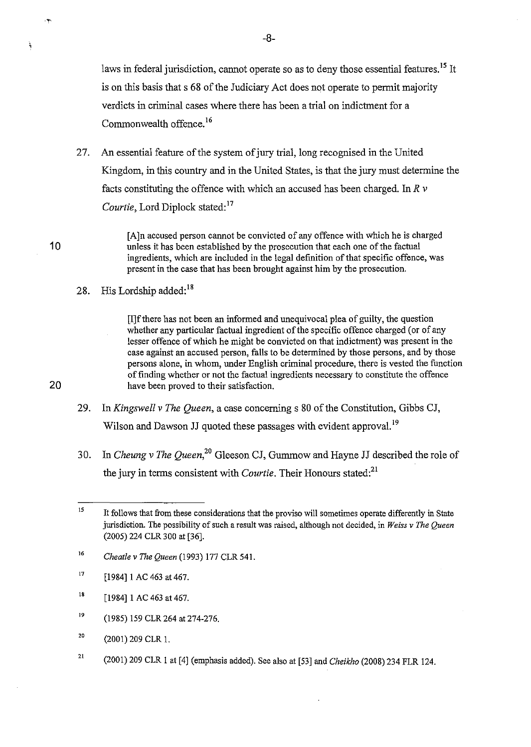laws in federal jurisdiction, cannot operate so as to deny those essential features.<sup>15</sup> It is on this basis that s 68 of the Judiciary Act does not operate to permit majority verdicts in criminal cases where there has been a trial on indictment for a Commonwealth offence.<sup>16</sup>

27. An essential feature of the system of jury trial, long recognised in the United Kingdom, in this country and in the United States, is that the jury must determine the facts constituting the offence with which an accused has been charged. In *R* v Courtie, Lord Diplock stated:<sup>17</sup>

[A]n accused person cannot be convicted of any offence with which he is charged 10 unless it has been established by the prosecution that each one of the factual ingredients, which are included in the legal definition of that specific offence, was present in the case that has been brought against him by the prosecution.

28. His Lordship added: $18$ 

[I]ftbere has not been an informed and unequivocal plea of guilty, the question whether any particular factual ingredient of the specific offence charged (or of any lesser offence of which he might be convicted on that indictment) was present in the case against an accused person, faUs to be determined by tbose persons, and by those persons alone, in whom, under English criminal procedure, tbere is vested the function of finding whether or not the factual ingredients necessary to constitute the offence 20 have been proved to their satisfaction.

- 29. In *Kingswell* v *The Queen,* a case concerning s 80 of the Constitution, Gibbs CJ, Wilson and Dawson JJ quoted these passages with evident approval.<sup>19</sup>
- 30. In *Cheung* v *The Queen,20* Gleeson CJ, Gummow and Hayne JJ described the role of the jury in terms consistent with *Courtie*. Their Honours stated:<sup>21</sup>

- 16 *Cheatle v The Queen* (1993) 177 CLR 541.
- 17 [1984] 1 AC 463 at 467.
- ${\bf 18}$ [1984] 1 AC 463 at 467.
- 19 (1985) 159 CLR 264 at 274-276.
- 20 (2001) 209 CLR 1.
- 21 (2001) 209 CLR 1 at [4] (emphasis added). See also at [53] and *Cheikho* (2008) 234 FLR 124.

-8-

 $\ddot{\phantom{1}}$ 

 $\mathcal{P}$ 

<sup>15</sup>  It follows that from these considerations that the proviso will sometimes operate differently in State jurisdiction. The possibility of such a result was raised, although not decided, in *Weiss v The Queen*  (2005) 224 CLR 300 at [36].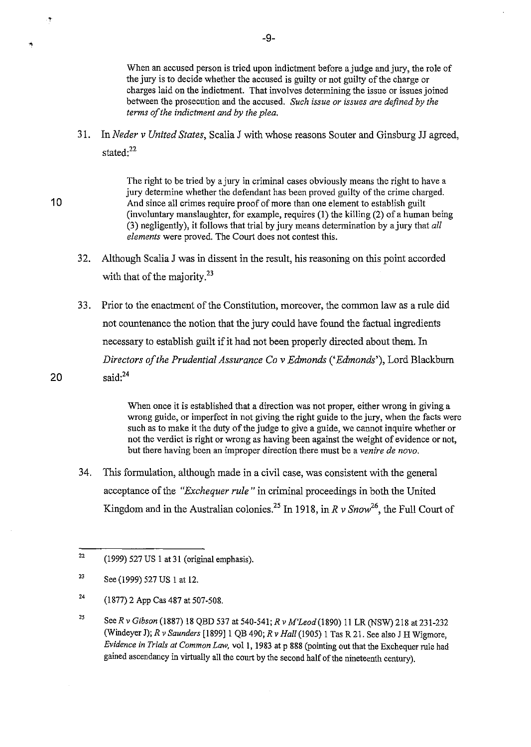When an accused person is tried upon indictment before a judge and jury, the role of the jury is to decide whether the accused is guilty or not guilty of the charge or charges laid on the indictment. That involves determining the issue or issues joined between the prosecution and the accused. *Such issue or issues are defined by the terms of the indictment and by the plea.* 

31. In *Neder* v *United States,* Scalia J with whose reasons Souter and Ginsburg JJ agreed, stated:<sup>22</sup>

The right to be tried by a jury in criminal cases obviously means the right to have a jury determine whether the defendant has been proved guilty of the crime charged. 10 And since all crimes require proof of more than one element to establish guilt (involuntary manslaughter, for example, requires (1) the killing (2) of a human being (3) negligently), it follows that trial by jury means determination by ajury that *all elements* were proved. The Court does not contest this.

- 32. Although Scalia J was in dissent in the result, his reasoning on this point accorded with that of the majority. $^{23}$
- 33. Prior to the enactment of the Constitution, moreover, the common law as a rule did not countenance the notion that the jury could have found the factual ingredients necessary to establish guilt if it had not been properly directed about them. In *Directors of the Prudential Assurance Co v Edmonds ('Edmonds'), Lord Blackburn* 20  $\text{said:}^{24}$

When once it is established that a direction was not proper, either wrong in giving a wrong guide, or imperfect in not giving the right guide to the jury, when the facts were such as to make it the duty of the judge to give a guide, we cannot inquire whether or not the verdict is right or wrong as having been against the weight of evidence or not, but there having been an improper direction there must be a *venire de novo.* 

34. This formulation, although made in a civil case, was consistent with the general acceptance of the *"Exchequer rule"* in criminal proceedings in both the United Kingdom and in the Australian colonies.<sup>25</sup> In 1918, in  $R v$  *Snow*<sup>26</sup>, the Full Court of

.<br>T

Ķ

<sup>22</sup>  (1999) 527 US 1 at 31 (original emphasis).

<sup>23</sup>  See (1999) 527 US 1 at 12.

<sup>24</sup>  (1877) 2 App Cas 487 at 507-508.

<sup>25</sup>  *SeeR* v *Gibson* (1887) 18 QBD 537 at 540-541; *R* v *M'Leod(1890)* 11 LR (NSW) 218 at 231-232 (Windeyer J); *R* v *Saunders* [1899]1 QB 490; *R* v *Hall* (1905) I Tas R 21. See also J H Wigmore, *Evidence in Trials at Common Law,* vol I, 1983 at p 888 (pointing out that the Exchequer rule had gained ascendancy in virtually all the court by the second half of the nineteenth century).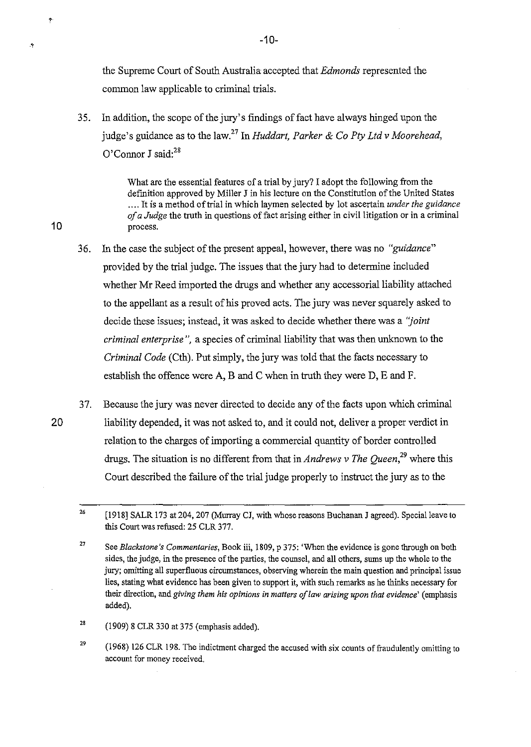the Supreme Court of South Australia accepted that *Edmonds* represented the common law applicable to criminal trials.

35. In addition, the scope of the jury's findings of fact have always hinged upon the judge's guidance as to the law.<sup>27</sup>In *Huddart, Parker* & *Co Ply Ltd* v *Moorehead,*  O'Connor J said:<sup>28</sup>

What are the essential features of a trial by jury? I adopt the following from the definition approved by Miller J in his lecture on the Constitution of the United States .... It is a method of trial in which laymen selected by lot ascertain *under the guidance of a Judge* the truth in questions of fact arising either in civil litigation or in a criminal 10 process.

- 36. In the case the subject of the present appeal, however, there was no *"guidance*" provided by the trial judge. The issues that the jury had to determine included whether Mr Reed imported the drugs and whether any accessorial liability attached to the appellant as a result of his proved acts. The jury was never squarely asked to decide these issues; instead, it was asked to decide whether there was a *"joint criminal enterprise*", a species of criminal liability that was then unknown to the *Criminal Code* (Cth). Put simply, the jury was told that the facts necessary to establish the offence were A, B and C when in truth they were D, E and F.
- 37. Because the jury was never directed to decide any of the facts upon which criminal 20 liability depended, it was not asked to, and it could not, deliver a proper verdict in relation to the charges of importing a commercial quantity of border controlled drugs. The situation is no different from that in *Andrews v The Queen*<sup>29</sup> where this Court described the failure of the trial judge properly to instruct the jury as to the

28 (1909) 8 CLR 330 at 375 (emphasis added).

29 (1968) 126 CLR 198. The indictment charged the accused with six counts of fraudulently omitting to **account for money received.** 

t

Ą

<sup>26</sup>  [1918] SALR 173 at 204, 207 (Murray CJ, with whose reasons Buchanan J agreed). Special leave to this Court was refused: 25 CLR 377.

<sup>27</sup>  See *Blackstone's Commentaries*, Book iii, 1809, p 375: 'When the evidence is gone through on both sides, the judge, in the presence of the parties, the counsel, and all others, sums up the whole to the jury; omitting all superfluous circumstances, observing wherein the main question and principal issue lies, stating what evidence has been given to support it, with such remarks as he thinks necessary for their direction, and *giving them his opinions in matters of law arising upon that evidence'* (emphasis added).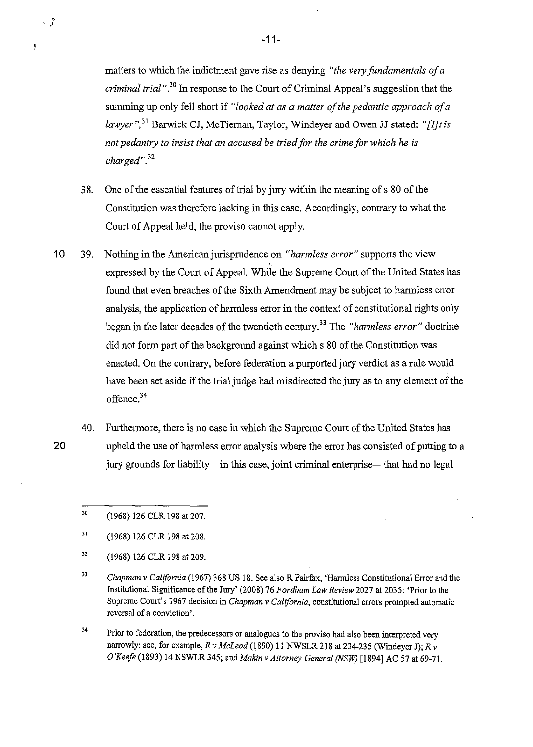matters to which the indictment gave rise as denying *"the very fundamentals of a criminal trial*".<sup>30</sup> In response to the Court of Criminal Appeal's suggestion that the sununing up only fell short if *"looked at as a matter of the pedantic approach of a lawyer",)!* Barwick CJ, McTieman, Taylor, Windeyer and Owen JJ stated: *"[IJtis not pedantry to insist that an accused be tried for the crime for which he is charged".)2* 

- 3 8. One of the essential features of trial by jury within the meaning of s 80 of the Constitution was therefore lacking in this case. Accordingly, contrary to what the Court of Appeal held, the proviso cannot apply.
- 10 39. Nothing in the American jurisprudence on *"harmless error"* supports the view expressed by the Court of Appeal. While the Supreme Court of the United States has found that even breaches of the Sixth Amendment may be subject to harmless error analysis, the application of harmless error in the context of constitutional rights only began in the later decades of the twentieth century.<sup>33</sup> The *"harmless error"* doctrine did not form part of the background against which s 80 of the Constitution was enacted. On the contrary, before federation a purported jury verdict as a rule would have been set aside if the trial judge had misdirected the jury as to any element of the offence.<sup>34</sup>
	- 40. Furthermore, there is no case in which the Supreme Court of the United States has upheld the use of harmless error analysis where the error has consisted of putting to a jury grounds for liability—in this case, joint criminal enterprise—that had no legal
		- 30 (1968) 126 CLR 198 at 207.
		- 31 (1968) 126 CLR 198 at 208.
		- 32 (1968) 126 CLR 198 at 209.
		- 33 *Chapman* v *California* (1967) 368 US 18. See also R Fairfax, 'Hannless Constitutional Error and the Institutional Significance of the Jury' (2008) 76 *Fordham Law Review'2027* at 2035: 'Prior to the Supreme Court's 1967 decision in *Chapman* v *California,* constitutional errors prompted automatic **reversal of a conviction'.**
		- 34 Prior to federation, the predecessors or analogues to the proviso had also been interpreted very narrowly: see, for example, *R* v *MeLeod* (1890) 11 NWSLR 218 at 234-235 (Windeyer J); *R* v *O'Keefe* (1893) 14 NSWLR345; and *Makin* v *Attorney-General (NSW)* [1894] AC 57 at 69-71.

20

!

 $\sim$  3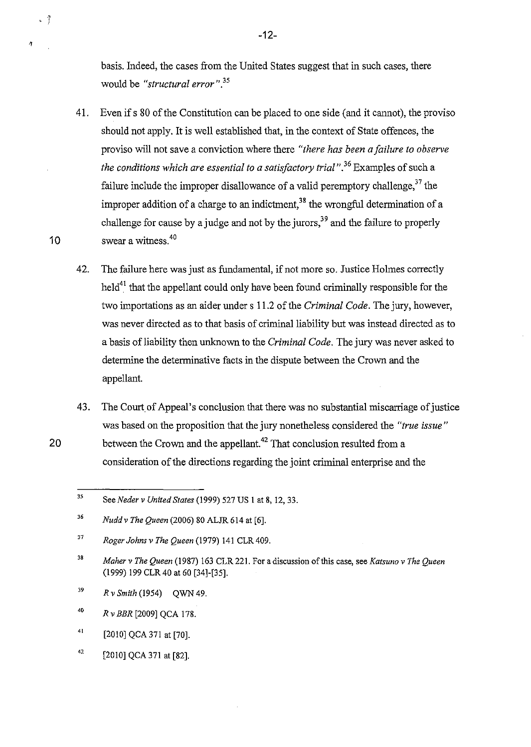basis. Indeed, the cases from the United States suggest that in such cases, there would be *"structural error". 35* 

- 41. Even if s 80 of the Constitution can be placed to one side (and it cannot), the proviso should not apply. It is well established that, in the context of State offences, the proviso will not save a conviction where there *"there has been a failure to observe the conditions which are essential to a satisfactory trial*",<sup>36</sup> Examples of such a failure include the improper disallowance of a valid peremptory challenge,  $37$  the improper addition of a charge to an indictment,  $38$  the wrongful determination of a challenge for cause by a judge and not by the jurors,  $39$  and the failure to properly 10 swear a witness.<sup>40</sup>
	- 42. The failure here was just as fundamental, if not more so. Justice Holmes correctly held<sup>41</sup> that the appellant could only have been found criminally responsible for the two importations as an aider under s 11.2 of the *Criminal Code.* The jury, however, was never directed as to that basis of criminal liability but was instead directed as to a basis of liability then unknown to the *Criminal Code.* The jury was never asked to determine the determinative facts in the dispute between the Crown and the appellant.
- 43. The Court of Appeal's conclusion that there was no substantial miscarriage of justice was based on the proposition that the jury nonetheless considered the *"true issue"*  20 between the Crown and the appellant.<sup>42</sup> That conclusion resulted from a consideration of the directions regarding the joint criminal enterprise and the

- 39 *R* v *Smith* (1954) QWN 49.
- 40 *Rv BBR* [2009] QCA 178.

 $-7$ 

 $\hat{\gamma}$ 

- 41 [2010] QCA 371 at [70].
- 42 [2010] QCA 371 at [82].

-12-

<sup>35</sup>  See *Neder* v *United States* (1999) 527 US 1 at 8, 12,33.

<sup>36</sup>  *Nuddv The Queen* (2006) 80 ALJR 614 at [6].

<sup>37</sup>  *Roger Johns* v *The Queen* (1979) 141 CLR409.

<sup>38</sup>  *Maher* v *The Queen* (1987) 163 CLR 221. For a discussion of this case, see *Katsuno* v *The Queen*  (1999) 199 CLR40 at 60 [34]-[35].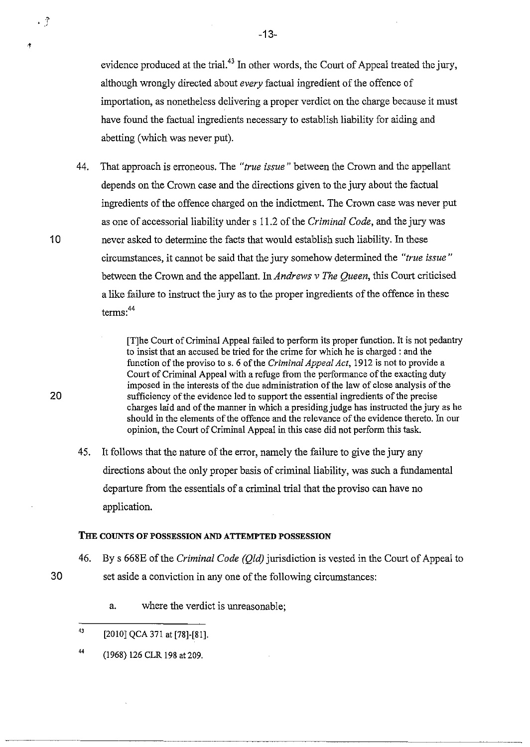evidence produced at the trial.<sup>43</sup> In other words, the Court of Appeal treated the jury, although wrongly directed about *every* factual ingredient of the offence of importation, as nonetheless delivering a proper verdict on the charge because it must have found the factual ingredients necessary to establish liability for aiding and abetting (which was never put).

44. That approach is erroneous. The *"true issue"* between the Crown and the appellant depends on the Crown case and the directions given to the jury about the factual ingredients of the offence charged on the indictment. The Crown case was never put as one of accessorial liability under s 11.2 of the *Criminal Code*, and the jury was 10 never asked to determine the facts that would establish such liability. In these circumstances, it cannot be said that the jury somehow determined the *"true issue"*  between the Crown and the appellant. In *Andrews* v *The Queen,* this Court criticised a like failure to instruct the jury as to the proper ingredients of the offence in these terms:<sup>44</sup>

[T]he Court of Criminal Appeal failed to perform its proper function. It is not pedantry to insist that an accused be tried for the crime for which he is charged: and the function of the proviso to s. 6 of the *Criminal Appeal Act,* 1912 is not to provide a Court of Criminal Appeal with a refuge from the performance of the exacting duty imposed in the interests of the due administration of the law of close analysis of the 20 sufficiency of the evidence led to support the essential ingredients of the precise charges laid and of the manner in which a presiding judge has instructed the jury as he should in the elements of the offence and the relevance of the evidence thereto. In our opinion, the Court of Criminal Appeal in this case did not perform this task.

45. It follows that the nature of the error, namely the failure to give the jury any directions about the only proper basis of criminal liability, was such a fundamental departure from the essentials of a criminal trial that the proviso can have no application.

### THE COUNTS OF POSSESSION AND **ATTEMPTED** POSSESSION

46. By s 668E of the *Criminal Code (Qld)* jurisdiction is vested in the Court of Appeal to 30 set aside a conviction in anyone of the following circumstances:

-\_ .. \_-----------------------------------

- a. where the verdict is unreasonable;
- 43 [2010] QCA 371 at [78]-[81].
- 44 (1968) 126 CLR 198 at 209.

 $\cdot$  ?

-13-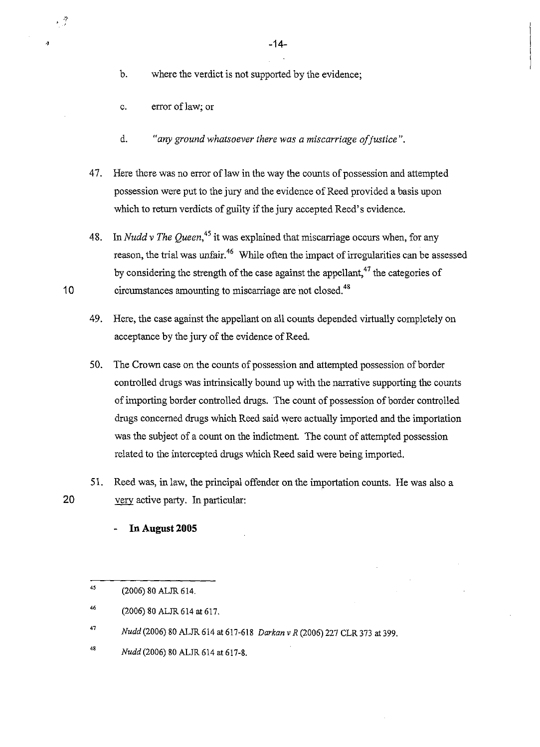-14-

b. where the verdict is not supported by the evidence;

c. error oflaw; or

 $\cdot$  3

 $\boldsymbol{q}$ 

- d. *"any ground whatsoever there was a miscarriage a/justice".*
- 47. Here there was no error of law in the way the counts of possession and attempted possession were put to the jury and the evidence of Reed provided a basis upon which to return verdicts of guilty if the jury accepted Reed's evidence.
- 48. In *Nudd* v *The Queen,45* it was explained that miscarriage occurs when, for any reason, the trial was unfair.<sup>46</sup> While often the impact of irregularities can be assessed by considering the strength of the case against the appellant, $47$  the categories of 10 circumstances amounting to miscarriage are not closed.<sup>48</sup>
	- 49. Here, the case against the appellant on all counts depended virtually completely on acceptance by the jury of the evidence of Reed.
	- 50. The Crown case on the counts of possession and attempted possession of border controlled drugs was intrinsically bound up with the narrative supporting the counts of importing border controlled drugs. The count of possession of border controlled drugs concerned drugs which Reed said were actually imported and the importation was the subject of a count on the indictment. The count of attempted possession related to the intercepted drugs which Reed said were being imported.
- 51. Reed was, in law, the principal offender on the importation counts. He was also a 20  $\frac{V}{V}$  very active party. In particular:

**In August 2005** 

48 *Nudd* (2006) 80 ALJR 614 at 617-8.

<sup>45</sup>  (2006) 80 ALJR 614.

<sup>46</sup>  (2006) 80 ALJR 614 at 617.

<sup>47</sup>  *Nudd* (2006) 80 ALJR 614 at 617-618 *Darkan* v *R* (2006) 227 CLR 373 at 399.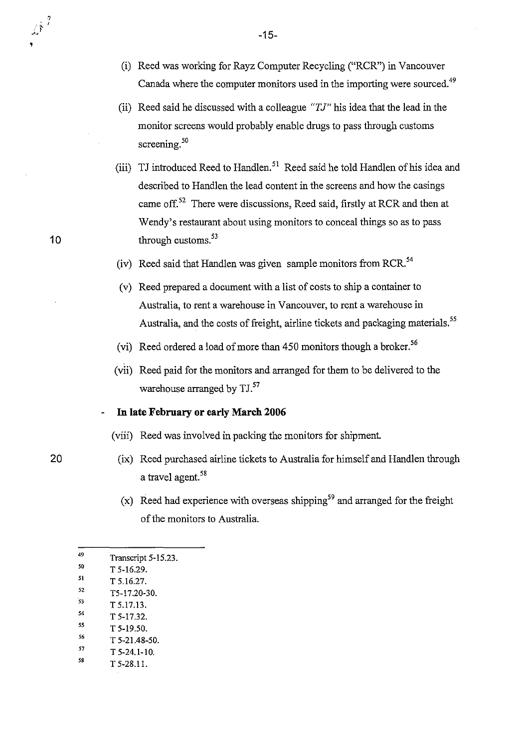- (i) Reed was working for Rayz Computer Recycling ("RCR") in Vancouver Canada where the computer monitors used in the importing were sourced.<sup>49</sup>
- (ii) Reed said he discussed with a colleague " $TJ$ " his idea that the lead in the monitor screens would probably enable drugs to pass through customs screening.<sup>50</sup>
- (iii) TJ introduced Reed to Handlen. 51 Reed said he told Handlen of his idea and described to Handlen the lead content in the screens and how the casings came off.<sup>52</sup> There were discussions, Reed said, firstly at RCR and then at Wendy's restaurant about using monitors to conceal things so as to pass through customs.<sup>53</sup>
- (iv) Reed said that Handlen was given sample monitors from RCR.<sup>54</sup>
- (v) Reed prepared a document with a list of costs to ship a container to Australia, to rent a warehouse in Vancouver, to rent a warehouse in Australia, and the costs of freight, airline tickets and packaging materials.<sup>55</sup>
- (vi) Reed ordered a load of more than 450 monitors though a broker.<sup>56</sup>
- (vii) Reed paid for the monitors and arranged for them to be delivered to the warehouse arranged by TJ.<sup>57</sup>

### **In late February or early March 2006**

- (viii) Reed was involved in packing the monitors for shipment
	- (ix) Reed purchased airline tickets to Australia for himself and Handlen through a travel agent.<sup>58</sup>
	- (x) Reed had experience with overseas shipping<sup>59</sup> and arranged for the freight of the monitors to Australia.

| 49 | Transcript 5-15.23. |
|----|---------------------|
| 50 | T 5-16.29.          |

- 51 T 5.16.27.
- 52 T5-17.20-30.
- 53 T 5.17.13.
- 54
- " T 5-17.32.
- 56 T 5-19.50.
- 57 T 5-21.48-50. T 5-24.1-10.
- " T 5-28.11.

-15-

20

10

 $\sqrt{\hat{r}}^2$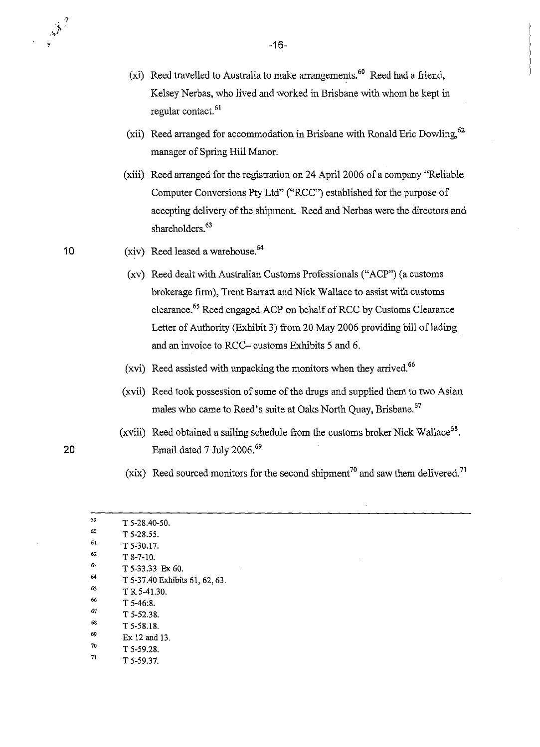- (xi) Reed travelled to Australia to make arrangements.<sup>60</sup> Reed had a friend, Kelsey Nerbas, who lived and worked in Brisbane with whom he kept in regular contact. 61
- (xii) Reed arranged for accommodation in Brisbane with Ronald Eric Dowling, 62 manager of Spring Hill Manor.
- (xiii) Reed arranged for the registration on 24 April 2006 of a company "Reliable Computer Conversions Pty Ltd" ("RCC") established for the purpose of accepting delivery of the shipment. Reed and Nerbas were the directors and shareholders.<sup>63</sup>
- (xiv) Reed leased a warehouse. $64$

10

 $\mathscr{A}^2$ 

- (xv) Reed dealt with Australian Customs Professionals ("ACP") (a customs brokerage firm), Trent Barratt and Nick Wallace to assist with customs clearance.<sup>65</sup> Reed engaged ACP on behalf of RCC by Customs Clearance Letter of Authority (Exhibit 3) from 20 May 2006 providing bill of lading and an invoice to RCC- customs Exhibits 5 and 6.
- (xvi) Reed assisted with unpacking the monitors when they arrived.<sup>66</sup>
- (xvii) Reed took possession of some of the drugs and supplied them to two Asian males who came to Reed's suite at Oaks North Quay, Brisbane.<sup>67</sup>
- (xviii) Reed obtained a sailing schedule from the customs broker Nick Wallace<sup>68</sup>. 20 Email dated 7 July 2006.<sup>69</sup>
	- (xix) Reed sourced monitors for the second shipment<sup>70</sup> and saw them delivered.<sup>71</sup>

| 59 | $T$ 5-28.40-50.                |
|----|--------------------------------|
| 60 | $T$ 5-28.55.                   |
| 61 | T 5-30.17.                     |
| 62 | $T8-7-10.$                     |
| 63 | T 5-33.33 Ex 60.               |
| 64 | T 5-37.40 Exhibits 61, 62, 63. |
| 65 | T R 5-41.30.                   |
| 66 | $T$ 5-46:8.                    |
| 67 | $T$ 5-52.38.                   |
| 68 | T 5-58.18.                     |
| 69 | $Ex 12$ and $13$ .             |
| 70 | $T$ 5-59.28.                   |
| 71 | T 5-59.37.                     |
|    |                                |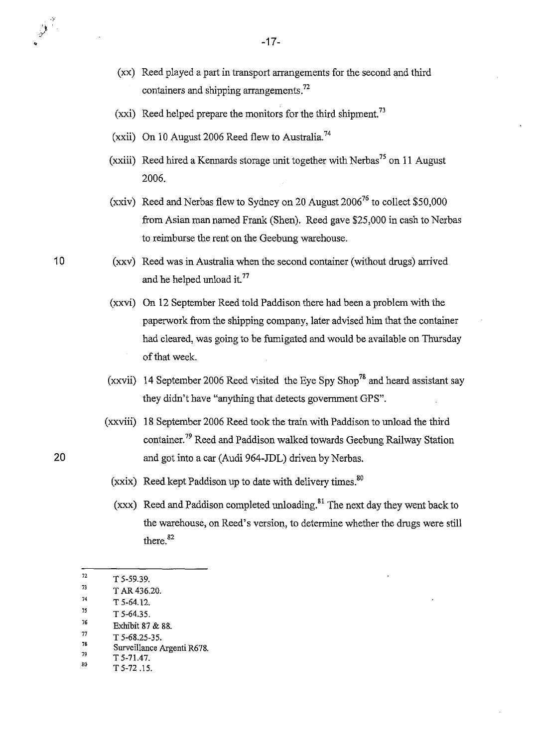- (xx) Reed played a part in transport arrangements for the second and third containers and shipping arrangements. $72$
- (xxi) Reed helped prepare the monitors for the third shipment.<sup>73</sup>
- (xxii) On 10 August 2006 Reed flew to Australia.<sup>74</sup>
- (xxiii) Reed hired a Kennards storage unit together with Nerbas<sup>75</sup> on 11 August 2006.
- (xxiv) Reed and Nerbas flew to Sydney on 20 August  $2006^{76}$  to collect \$50,000 from Asian man named Frank (Shen). Reed gave \$25,000 in cash to Nerbas to reimburse the rent on the Geebung warehouse.
- 10 (xxv) Reed was in Australia when the second container (without drugs) arrived and he helped unload it.<sup>77</sup>
	- (xxvi) On 12 September Reed told Paddison there had been a problem with the paperwork from the shipping company, later advised him that the container had cleared, was going to be fumigated and would be available on Thursday of that week.
	- (xxvii) 14 September 2006 Reed visited the Eye Spy Shop<sup>78</sup> and heard assistant say they didn't have "anything that detects government GPS".
- (xxviii) 18 September 2006 Reed took the train with Paddison to unload the third container.79 Reed and Paddison walked towards Geebung Railway Station 20 and got into a car (Audi 964-JDL) driven by Nerbas.
	- (xxix) Reed kept Paddison up to date with delivery times.<sup>80</sup>
	- (xxx) Reed and Paddison completed unloading.<sup>81</sup> The next day they went back to the warehouse, on Reed's version, to determine whether the drugs were still there.<sup>82</sup>

 $\hat{\mathbf{y}}^{\hat{\tau}}$ 

 $T^2$  T 5-59.39.

 $T^3$  T AR 436.20.

 $^{74}$  T 5-64.12.

 $^{75}$  T 5-64.35.<br> $^{76}$  Exhibit 97

<sup>&</sup>lt;sup>76</sup> Exhibit 87 & 88.<br>
<sup>77</sup> T 5-68.25-35.<br>
<sup>78</sup> Surveillance Argenti R678.<br>
T 5-71.47

 $^{79}$  T 5-71.47.<br>
T 5-72.15.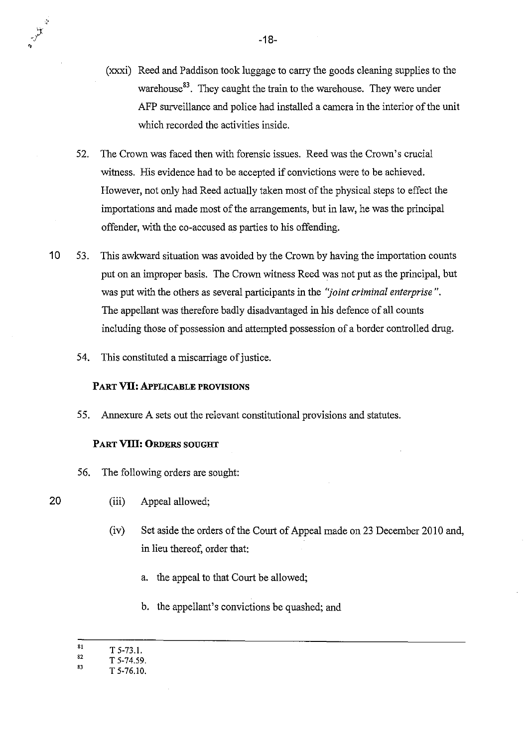- (xxxi) Reed and Paddison took luggage to carry the goods cleaning supplies to the warehouse<sup>83</sup>. They caught the train to the warehouse. They were under AFP surveillance and police had installed a camera in the interior of the unit which recorded the activities inside.
- 52. The Crown was faced then with forensic issues. Reed was the Crown's crucial witness. His evidence had to be accepted if convictions were to be achieved. However, not only had Reed actually taken most of the physical steps to effect the importations and made most of the arrangements, but in law, he was the principal offender, with the co-accused as parties to his offending.
- 10 53. This awkward situation was avoided by the Crown by having the importation counts put on an improper basis. The Crown witness Reed was not put as the principal, but was put with the others as several participants in the *"joint criminal enterprise* ". The appellant was therefore badly disadvantaged in his defence of all counts including those of possession and attempted possession of a border controlled drug.
	- 54. This constituted a miscarriage of justice.

### PART **VU:** APPLICABLE PROVISIONS

55. Annexure A sets out the relevant constitutional provisions and statutes.

### PART **VIII: ORDERS SOUGHT**

- 56. The following orders are sought:
- (iii) Appeal allowed;
	- (iv) Set aside the orders of the Court of Appeal made on 23 December 2010 and, in lieu thereof, order that:
		- a. the appeal to that Court be allowed;
		- b. the appellant's convictions be quashed; and

20

;.

<sup>8!</sup>  T5-73.1.

<sup>82</sup>  T 5-74.59.

<sup>83</sup>  T 5-76.10.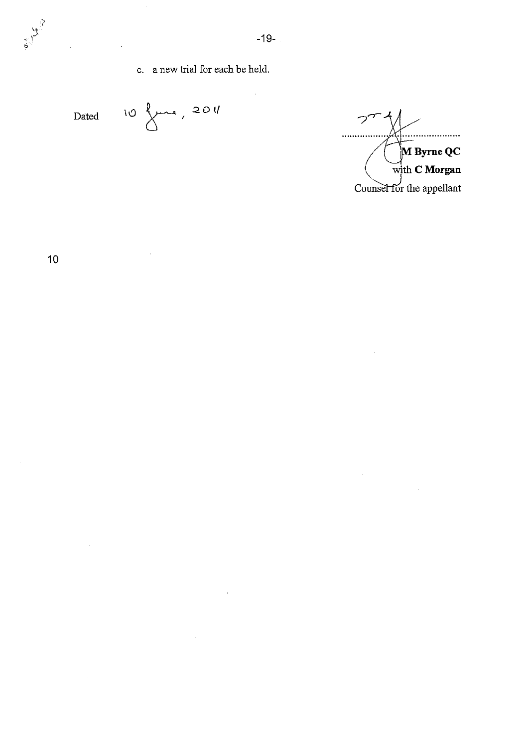Dated  $10~\text{km}$ , 2011

 $\hat{\mathcal{A}}$ 

っ . . . . . . .  $\ddot{\phantom{a}}$ **ByrneQC**  With C **Morgan**  Counsel for the appellant

 $\mathcal{A}$ 

 $\mathbb{R}^2$ 

 $\frac{1}{6}$ 

 $\bar{\mathcal{A}}$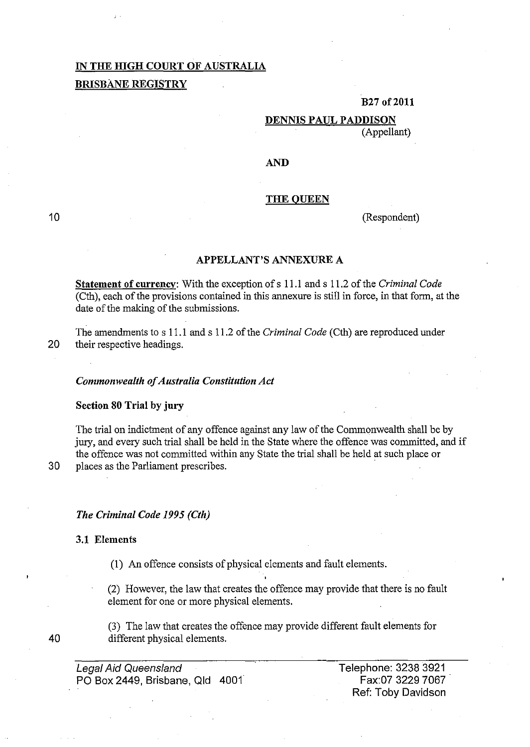### IN THE mGH COURT OF AUSTRALIA BRISBANE REGISTRY

### B27of2011

### DENNIS PAUL PADDISON (Appellant)

### AND

### THE QUEEN

(Respondent)

### APPELLANT'S ANNEXURE A

Statement of currency: With the exception of s 11.1 and s 11.2 of the *Criminal Code*  (Cth), each of the provisions contained in this annexure is still in force, in that form, at the date of the making of the submissions.

The amendments to s 11.1 and s 11.2 of the *Criminal Code* (Cth) are reproduced under 20 their respective headings.

### *Commonwealth of Australia Constitution Act*

Section 80 Trial by jury

The trial on indictment of any offence against any law of the Commonwealth shall be by jury, and every such trial shall be held in the State where the offence was committed, and if the offence was not committed within any State the trial shall be held at such place or 30 places as the Parliament prescribes. .

10

### *The Criminal Code* 1995 *(Cth)*

### 3.1 Elements

(1) An offence consists of physical elements and fault elements.

(2) However, the law that creates the offence may provide that there is no fault element for one or more physical elements.

(3) The law that creates the offence may provide different fault elements for different physical elements.

Legal Aid Queensland PO Box 2449, Brisbane, Qld 4001 Telephone: 32383921 . Fax:07 3229 7067 Ref: Toby Davidson

40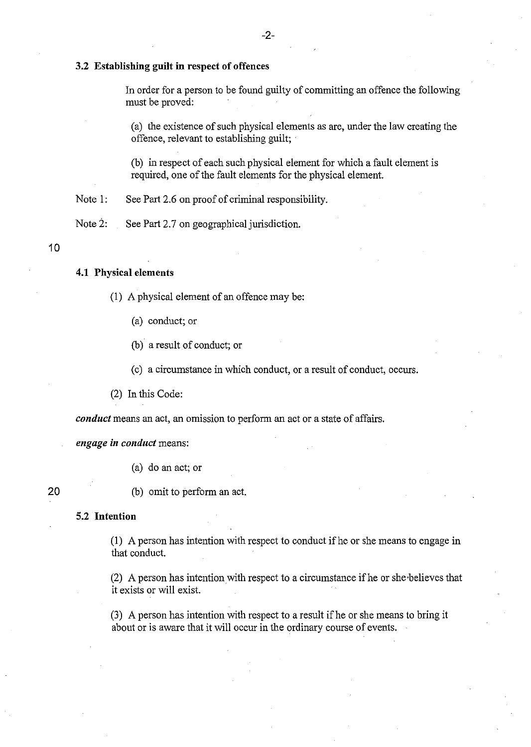### 3.2 Establishing guilt in respect of offences

In order for a person to be found guilty of committing an offence the following must be proved:

(a) the existence of such physical elements as are, under the law creating the offence, relevant to establishing guilt;

(b) in respect of each such physical element for which a fault element is required, one of the fault elements for the physical element.

Note 1: See Part 2.6 on proof of criminal responsibility.

Note 2: See Part 2.7 on geographical jurisdiction.

10

### 4.1 Physical elements

- (1) A physical element of an offence may be:
	- (a) conduct; or
	- (b) a result of conduct; or
	- ( c) a circumstance in which conduct, or a result of conduct, occurs.

(2) In this Code:

*conduct* means an act, an omission to perform an act or a state of affairs.

*engage in conduct* means:

(a) do an act; or

20

(b) omit to perform an act.

### 5.2 Intention

(I) A person has intention with respect to conduct ifhe or she means to engage in that conduct.

(2) A person has intention with respect to a circumstance if he or she believes that it exists or will exist.

(3) A person has intention with respect to a result if he or she means to bring it about or is aware that it will occur in the ordinary course of events.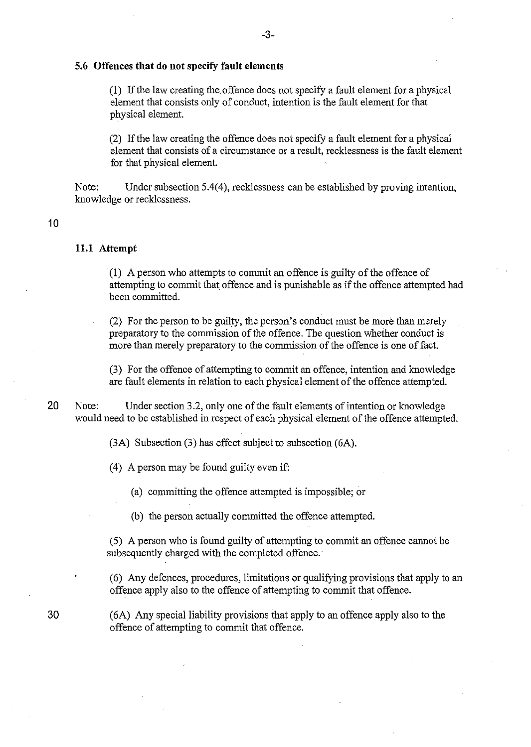### 5.6 Offences **that** do not specify **fault** elements

(1) If the law creating the offence does not specify a fault element for a physical element that consists only of conduct, intention is the fault element for that physical element.

(2) If the law creating the offence does not specify a fault element for a physical element that consists of a circumstance or a result, recklessness is the fault element for that physical element.

Note: Under subsection 5.4(4), recklessness can be established by proving intention, knowledge or recklessness.

### 10

### **11.1** Attempt

(1) A person who attempts to commit an offence is guilty of the offence of attempting to commit that offence and is punishable as if the offence attempted had been committed.

(2) For the person to be guilty, the person's conduct must be more than merely preparatory to the commission of the offence. The question whether conduct is more than merely preparatory to the commission of the offence is one of fact.

(3) For the offence of attempting to commit an offence, intention and knowledge are fault elements in relation to each physical element of the offence attempted.

20 Note: Under section 3.2, only one of the fault elements of intention or knowledge would need to be established in respect of each physical element of the offence attempted.

(3A) Subsection (3) has effect subject to subsection (6A).

(4) A person may be found guilty even if:

(a) committing the offence attempted is impossible; or

(b) the person actually committed the offence attempted.

(5) A person who is found guilty of attempting to commit an offence cannot be subsequently charged with the completed offence.

(6) Any defences, procedures, limitations or qualifying provisions that apply to an offence apply also to the offence of attempting to commit that offence.

(6A) Any special liability provisions that apply to an offence apply also to the offence of attempting to commit that offence.

30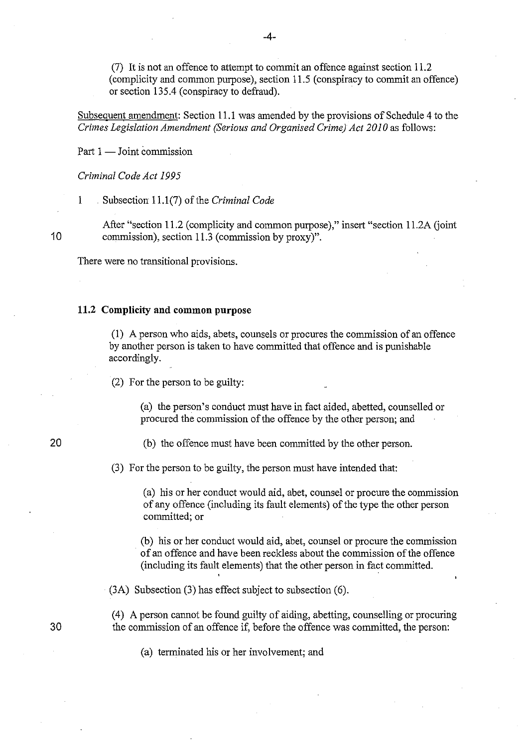(7) It is not an offence to attempt to commit an offence against section 11.2 (complicity and common purpose), section 11.5 (conspiracy to commit an offence) or section 135.4 (conspiracy to defraud). .

Subsequent amendment: Section 11.1 was amended by the provisions of Schedule 4 to the *Crimes Legislation Amendment (Serious and Organised Crime) Act 2010* as follows:

Part  $1 -$  Joint commission

*Criminal Code Act 1995* 

I . Subsection 11.1 (7) of the *Criminal Code* 

After "section 11.2 (complicity and common purpose)," insert "section 11.2A (joint 10 commission), section 11.3 (commission by proxy)".

There were no transitional provisions.

### **11.2 Complicity** and **common purpose**

(1) A person who aids, abets, counsels or procures the commission of an offence by another person is taken to have committed that offence and is punishable accordingly.

(2) For the person to be guilty:

(a) the person's conduct must have in fact aided, abetted, counselled or procured the commission of the offence by the other person; and

### 20

(b) the offence must have been committed by the other person.

(3) For the person to be guilty, the person must have intended that:

(a) his or her conduct would aid, abet, counsel or procure the commission of any offence (including its fault elements) of the type the other person committed; or

(b) his or her conduct would aid, abet, counsel or procure the commission of an offence and have been reckless about the commission of the offence (including its fault elements) that the other person in fact committed.

(3A) Subsection (3) has effect subject to subsection (6).

(4) A person cannot be found guilty of aiding, abetting, counselling or procuring the commission of an offence if, before the offence was committed, the person:

(a) terminated his or her involvement; and

30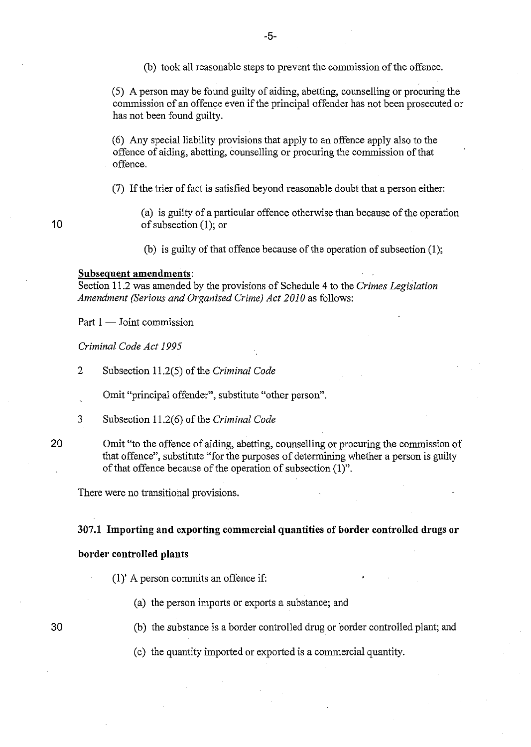(5) A person may be found guilty of aiding, abetting, counselling or procuring the commission of an offence even if the principal offender has not been prosecuted or has not been found guilty.

(6) Any special liability provisions that apply to an offence apply also to the offence of aiding, abetting, counselling or procuring the commission of that offence.

(7) If the trier of fact is satisfied beyond reasonable doubt that a person either:

(a) is guilty of a particular offence otherwise than because of the operation of subsection (1); or

(b) is guilty of that offence because of the operation of subsection  $(1)$ ;

### Subsequent amendments:

Section 11.2 was amended by the provisions of Schedule 4 to the *Crimes Legislation Amendment (Serious and Organised Crime) Act 2010* as follows:

Part  $1 -$  Joint commission

*Criminal Code Act 1995* 

2 Subsection 11.2(5) of the *Criminal Code* 

Omit "principal offender", substitute "other person".

- 3 Subsection 11.2(6) of the *Criminal Code*
- 20

30

10

Omit "to the offence of aiding, abetting, counselling or procuring the commission of that offence", substitute "for the purposes of determining whether a person is guilty of that offence because of the operation of subsection (1)".

There were no transitional provisions.

### 307.1 Importing and exporting commercial quantities of border controlled drugs or

### border controlled plants

 $(1)'$  A person commits an offence if:

(a) the person imports or exports a substance; and

(b) the substance is a border controlled drug or border controlled plant; and

(c) the quantity imported or exported is a commercial quantity.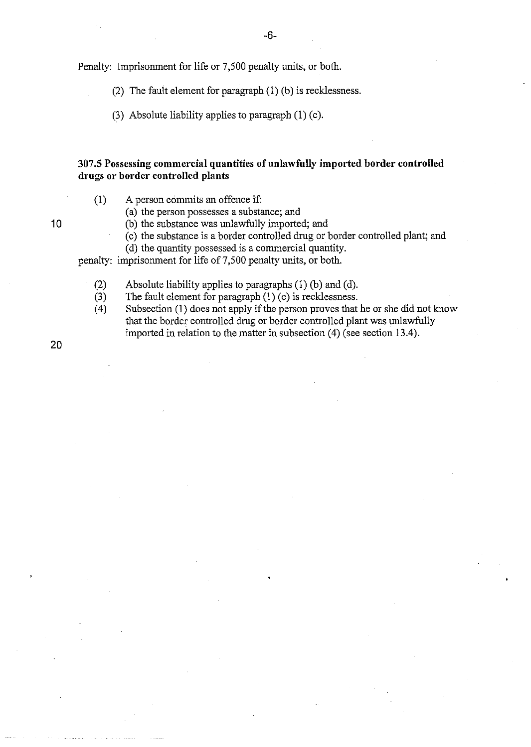Penalty: Imprisonment for life or 7,500 penalty units, or both.

(2) The fault element for paragraph (l) (b) is recklessness.

(3) Absolute liability applies to paragraph  $(1)$  (c).

### 307.5 Possessing commercial quantities of unlawfully imported border controlled drugs or border controlled plants

(1) A person commits an offence if:

(a) the person possesses a substance; and

10 (b) the substance was unlawfully imported; and

(c) the substance is a border controlled drug or border controlled plant; and

(d) the quantity possessed is a commercial quantity.

penalty: imprisonment for life of 7,500 penalty units, or both.

- (2) Absolute liability applies to paragraphs (l) (b) and (d).
- (3) The fault element for paragraph (1) (c) is recklessness.
- (4) Subsection (1) does not apply if the person proves that he or she did not know that the border controlled drug or border controlled plant was unlawfully imported in relation to the matter in subsection (4) (see section 13.4).

20

-6-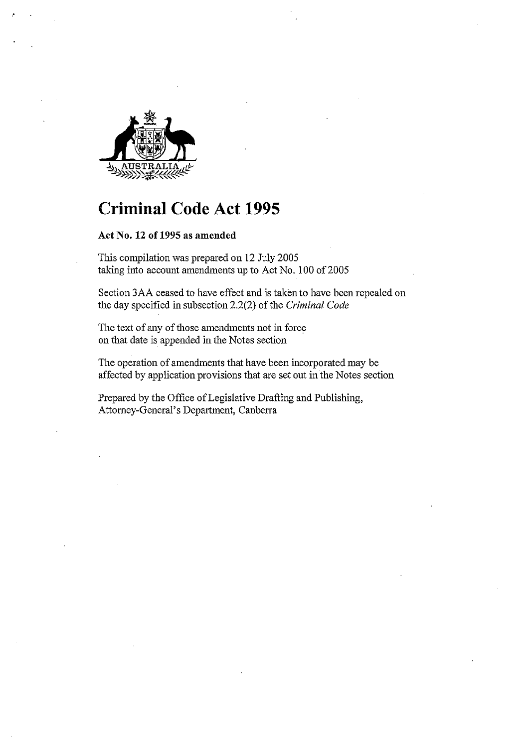

## **Criminal Code Act 1995**

### **Act No. 12 of 1995 as amended**

This compilation was prepared on 12 July 2005 taking into account amendments up to Act No. 100 of 2005

Section 3AA ceased to have effect and is taken to have been repealed on the day specified in subsection 2.2(2) of the *Criminal Code* 

The text of any of those amendments not in force on that date is appended in the Notes section

The operation of amendments that have been incorporated may be affected by application provisions that are set out in the Notes section

Prepared by the Office of Legislative Drafting and Publishing, Attomey-General's Department, Canberra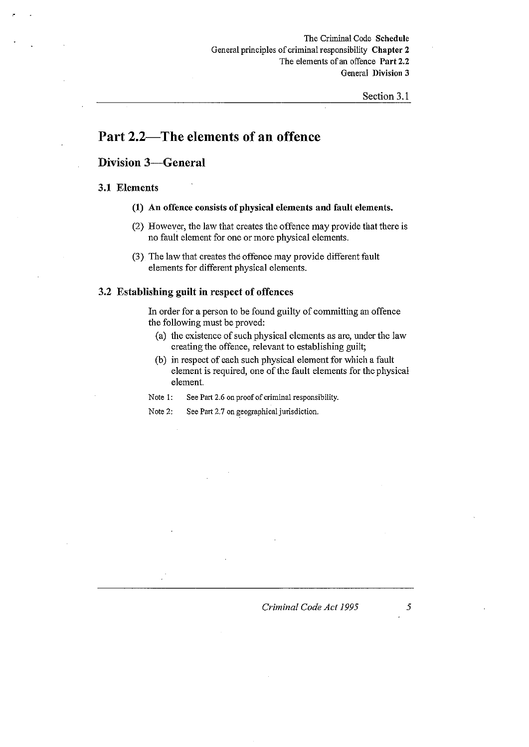### **Part** 2.2-The elements of **an** offence

### Division 3-General

### 3.1 Elements

"

- (1) An offence consists of physical elements and fanlt elements.
- (2) However, the law that creates the offence may provide that there is no fault element for one or more physical elements,
- (3) The law that creates the offence may provide different fault elements for different physical elements,

### 3.2 Establishing guilt in respect of offences

In order for a person to be found guilty of committing an offence the following must be proved:

- (a) the existence of such physical elements as are, under the law creating the offence, relevant to establishing guilt;
- (b) in respect of each such physical element for which a fault element is required, one of the fault elements for the physical element

Note 1: See Part 2.6 on proof of criminal responsibility.

Note 2: See Part 2.7 on geographical jurisdiction.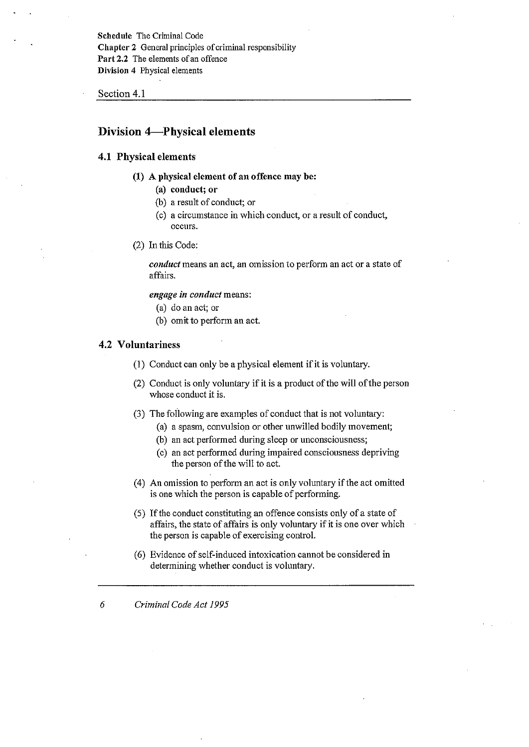Schedule The Criminal Code Chapter 2 General principles of criminal responsibility Part 2.2 The elements of an offence Division 4 Physical elements

Section 4.1

### **Division 4-Physical elements**

### 4.1 Physical elements

- (1) A physical element of an offence may be:
	- (a) conduct; or
	- (b) a result of conduct; or
	- (c) a circumstance in which conduct, or a result of conduct, **occurs.**
- (2) In this Code:

*conduct* means an act, an omission to perform an act or a state of affairs.

*engage in conduct* means:

- (a) do an act; or
- (b) omit to perform an act.

### 4.2 Voluntariness

- (1) Conduct can only be a physical element if it is voluntary.
- (2) Conduct is only voluntary if it is a product of the will of the person whose conduct it is.
- (3) The following are examples of conduct that is not voluntary:
	- (a) a spasm, convulsion or other unwilled bodily movement;
	- (b) an act performed during sleep or unconsciousness;
	- ( c) an act performed during impaired consciousness depriving the person of the will to act.
- (4) An omission to perform an act is only voluntary if the act omitted is one which the person is capable of performing.
- (5) If the conduct constituting an offence consists only of a state of affairs, the state of affairs is only voluntary if it is one over which the person is capable of exercising control.
- (6) Evidence of self-induced intoxication cannot be considered in determining whether conduct is voluntary.
- *6 Criminal Code Act 1995*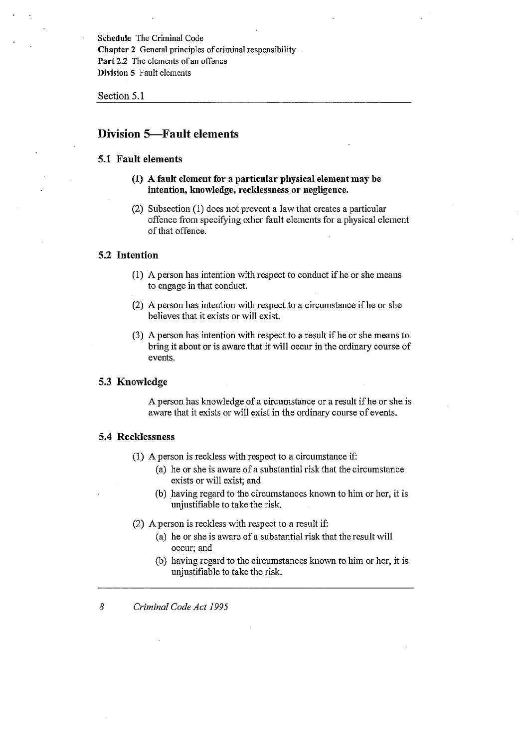Schedule The Criminal Code Chapter 2 General principles of criminal responsibility Part 2.2 The elements of an offence Division 5 Fault elements

Section 5.1

### Division 5--Fault elements

### 5.1 Fault elements

- (1) A fault element for a particular physical elemeut may be intention, knowledge, recklessness or negligence.
- (2) Subsection (1) does not prevent a law that creates a particular offence from specifYing other fault elements for a physical element of that offence.

### 5.2 Intention

- $(1)$  A person has intention with respect to conduct if he or she means to engage in that conduct.
- (2) A person has intention with respect to a circumstance if he or she believes that it exists or will exist.
- (3) A person has intention with respect to a result if he or she means to bring it about or is aware that it will occur in the ordinary course of events.

### 5.3 Knowledge

A person has knowledge of a circumstance or a result ifhe or she is aware that it exists or will exist in the ordinary course of events.

### 5.4 Recklessness

- (1) A person is reckless with respect to a circumstance if:
	- (a) he or she is aware of a substantial risk that the circumstance exists or will exist; and
	- (b) having regard to the circumstances known to him or her, it is unjustifiable to take the risk.

(2) A person is reckless with respect to a result if:

- (a) he or she is aware of a substantial risk that the result will occur; and
- (b) having regard to the circumstances known to him or her, it is unjustifiable to take the risk.

*8 Criminal Code Act 1995*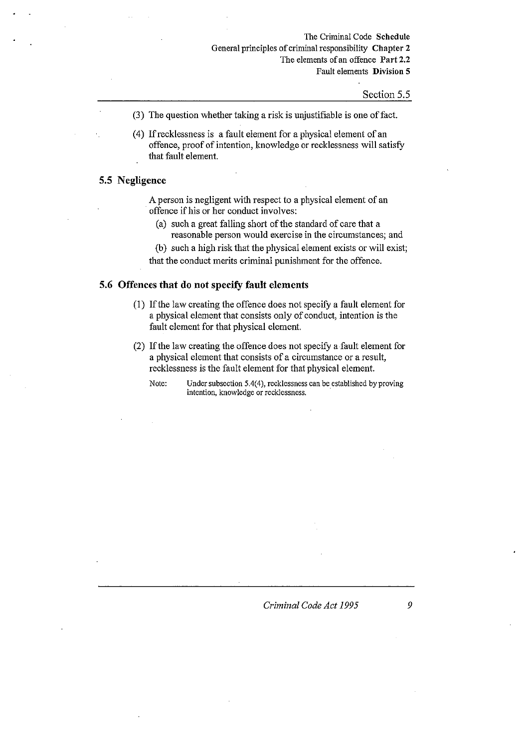The Criminal Code Schedule General principles of criminal responsibility Chapter 2 The elements of an offence Part 2.2 Fault elements Division 5

Section 5.5

- (3) The question whether taking a risk is unjustifiable is one off act.
- (4) If recklessness is a fault element for a physical element of an offence, proof of intention, knowledge or recklessness will satisfy that fault element.

### **5.5 Negligence**

A person is negligent with respect to a physical element of an offence if his or her conduct involves:

- (a) such a great falling short of the standard of care that a reasonable person would exercise in the circumstances; and
- (b) such a high risk that the physical element exists or will exist; that the conduct merits criminal punishment for the offence.

### **5.6 Offences that do not specify fault elements**

- (1) If the law creating the offence does not specify a fault element for a physical element that consists only of conduct, intention is the fault element for that physical element.
- (2) If the law creating the offence does not specify a .fault element for a physical element that consists of a circumstance or a result, recklessness is the fault element for that physical element.

Note: Under subsection 5.4(4), recklessness can be established by proving **intention, knowledge or recklessness. .**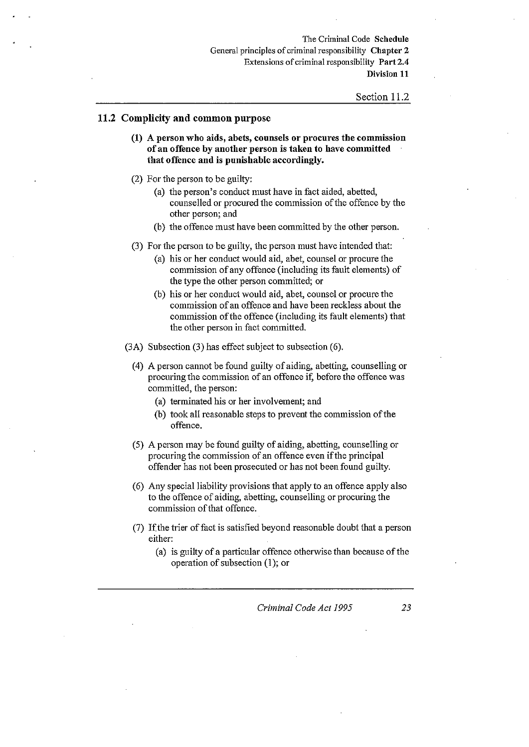The Criminal Code Schedule General principles of criminal responsibility Chapter 2 Extensions of criminal responsibility Part 2.4 Division 11

#### Section 11.2

### 11.2 Complicity and common purpose

- (1) A person who aids, abets, counsels or procures the commissiou of an offence by another person is taken to have committed that offence and is punishable accordingly.
- (2) For the person to be guilty:
	- (a) the person's conduct must have in fact aided, abetted, counselled or procured the commission of the offence by the other person; and
	- (b) the offence must have been committed by the other person.
- (3) For the person to be guilty, the person must have intended that:
	- (a) his or her conduct would aid, abet, counsel or procure the commission of any offence (including its fault elements) of the type the other person committed; or
	- (b) his or her conduct would aid, abet, counsel or procure the commission of an offence and have been reckless about the commission of the offence (including its fault elements) that the other person in fact committed.
- (3A) Subsection (3) has effect subject to subsection (6).
	- (4) A person cannot be found guilty of aiding, abetting, counselling or procuring the commission of an offence if, before the offence was committed, the person:
		- (a) terminated his or her involvement; and
		- (b) took all reasonable steps to prevent the commission of the offence.
	- (5) A person may be found guilty of aiding, abetting, counselling or procuring the commission of an offence even if the principal offender has not been prosecuted or has not been found guilty.
	- (6) Any special liability provisions that apply to an offence apply also to the offence of aiding, abetting, counselling or procuring the commission of that offence.
	- (7) If the trier of fact is satisfied beyond reasonable doubt that a person either:
		- (a) is guilty of a particular offence otherwise than because of the operation of subsection (l); or

*Criminal Code Act 1995* 23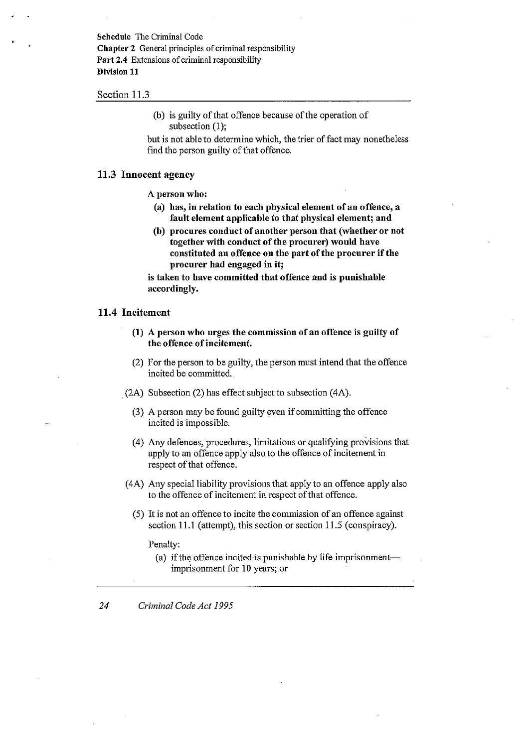Schedule The Criminal Code Chapter 2 General principles of criminal responsibility Part 2.4 Extensions of criminal responsibility Division 11

### Section 11.3

(b) is guilty of that offence because of the operation of subsection (1);

but is not able to determine which, the trier of fact may nonetheless find the person guilty of that offence.

### 11.3 Innocent agency

A person who:

- (a) has, in relation to each physical element of an offence, a fault element applicable to that physical element; and
- (b) procnres condnct of another person that (whether or not together with conduct of the procurer) would have constituted an offence on the part of the procurer if the procurer had engaged in it;

is taken to have committed that offence and is punishable accordingly.

### 11.4 Incitement

- (1) A person who urges the commission of an offence is guilty of the offence of incitement.
- (2) For the person to be guilty, the person must intend that the offence incited be committed.
- (2A) Subsection (2) has effect subject to subsection (4A).
	- (3) A person may be found guilty even if committing the offence incited is impossible.
	- (4) Any defences, procedures, limitations or qualifying provisions that apply to an offence apply also to the offence of incitement in respect of that offence.
- (4A) Any special liability provisions that apply to an offence apply also to the offence of incitement in respect of that offence.
	- (5) It is not an offence to incite the commission of an offence against section 11.1 (attempt), this section or section 11.5 (conspiracy).

Penalty:

- (a) if the offence incited is punishable by life imprisonmentimprisonment for 10 years; or
- *24 Criminal Code Act 1995*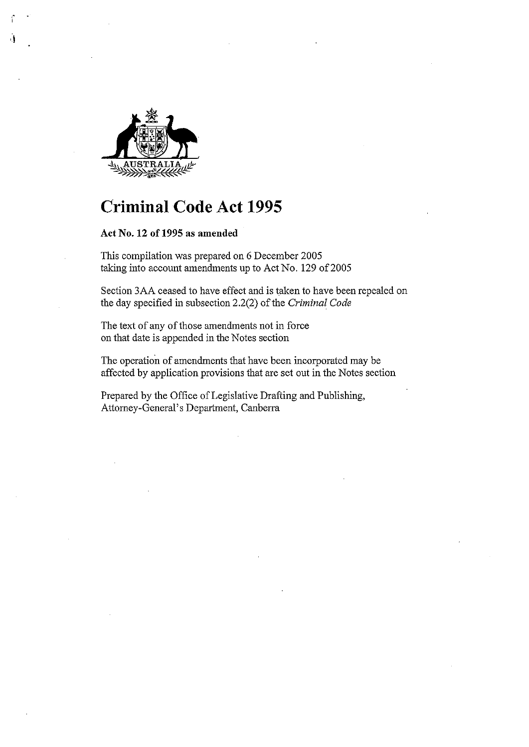

 $\mathbf{I}$ 

# **Criminal Code Act 1995**

**Act No. 12 of 1995 as amended** 

This compilation was prepared on 6 December 2005 taking into account amendments up to Act No. 129 of 2005

Section 3AA ceased to have effect and is taken to have been repealed on the day specified in subsection 2.2(2) of the *Criminal Code* 

The text of any of those amendments not in force on that date is appended in the Notes section

The operation of amendments that have been incorporated may be affected by application provisions that are set out in the Notes section

Prepared by the Office of Legislative Drafting and Publishing, Attorney-General's Department, Canberra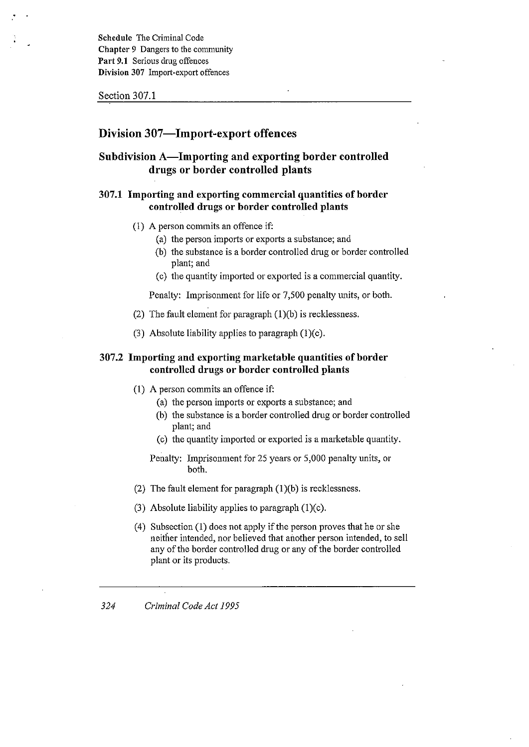Schedule The Criminal Code Chapter 9 Dangers to the community Part 9.1 Serious drug offences Division 307 Import-export offences

Section 307.1

### Division 307-Import-export offences

### Subdivision A-Importing and exporting border controlled drugs or border controlled plants

### 307.1 Importing and exporting commercial quantities of border controlled drugs or border controlled plants

- (1) A person commits an offence if:
	- (a) the person imports or exports a substance; and
	- (b) the substance is a border controlled drug or border controlled plant; and
	- (c) the quantity imported or exported is a commercial quantity.

Penalty: Imprisonment for life or 7,500 penalty units, or both.

- (2) The fault element for paragraph (1)(b) is recklessness.
- (3) Absolute liability applies to paragraph (1)(c).

### 307.2 Importing and exporting marketable quantities of border controlled drugs or border controlled plants

- (1) A person commits an offence if:
	- (a) the person imports or exports a substance; and
	- (b) the substance is a border controlled drug or border controlled plant; and
	- (c) the quantity imported or exported is a marketable quantity.

### Penalty: Imprisonment for 25 years or 5,000 penalty units, or both.

- (2) The fault element for paragraph (1)(b) is recklessness.
- (3) Absolute liability applies to paragraph (1)(c).
- (4) Subsection (l) does not apply if the person proves that he or she neither intended, nor believed that another person intended, to sell any of the border controlled drug or any of the border controlled plant or its products.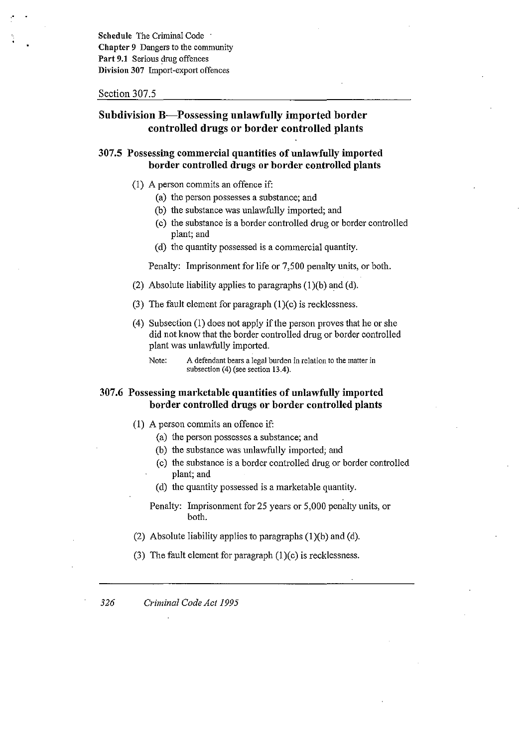Schedule The Criminal Code . Chapter 9 Dangers to the community Part 9.1 Serious drug offences Division 307 Import-export offences

#### Section 307.5

### Subdivision B-Possessing unlawfully imported border controlled drugs or border controlled plants

### 307.5 Possessing commercial quantities of unlawfully imported border controlled drugs or border controlled plants

- (1) A person commits an offence if:
	- (a) the person possesses a substance; and
	- (b) the substance was unlawfully imported; and
	- (c) the substance is a border controlled drug or border controlled plant; and
	- (d) the quantity possessed is a commercial quantity.

Penalty: Imprisonment for life or 7,500 penalty units, or both.

- (2) Absolute liability applies to paragraphs  $(1)(b)$  and  $(d)$ .
- (3) The fault element for paragraph  $(1)(c)$  is recklessness.
- (4) Subsection (1) does not apply if the person proves that he or she did not know that the border controlled dmg or border controlled plant was unlawfully imported.

Note: A defendant bears a legal burden in relation to the matter in subsection (4) (see section 13.4).

### 307.6 Possessing marketable quantities of unlawfully imported border controlled drugs or border controlled plants

- (1) A person commits an offence if:
	- (a) the person possesses a substance; and
	- (b) the substance was unlawfully imported; and
	- (c) the substance is a border controlled drug or border controlled plant; and
	- (d) the quantity possessed is a marketable quantity.
	- Penalty: Imprisonment for 25 years or 5,000 penalty units, or both.
- (2) Absolute liability applies to paragraphs  $(1)(b)$  and  $(d)$ .
- (3) The fault element for paragraph  $(1)(c)$  is recklessness.

*326 Criminal Code Act 1995*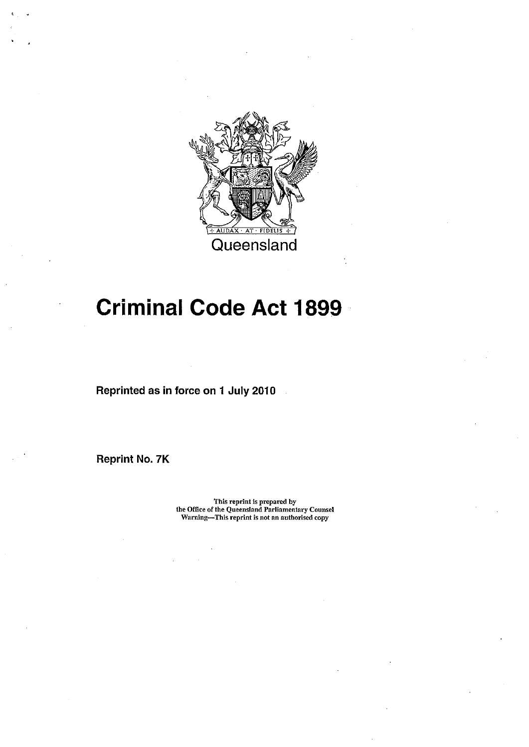

# **Criminal Code Act 1899**

Reprinted as in force on 1 July 2010

Reprint No. 7K

This reprint is prepared by the Office of the Queensland Parliamentary Counsel Warning-This reprint is not an authorised copy